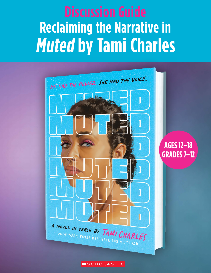# **Reclaiming the Narrative in Muted by Tami Charles**



**MSCHOLASTIC**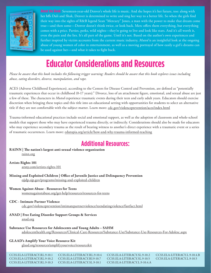

**About the Book:** Seventeen-year-old Denver's whole life is music. And she hopes it's her future, too: along with her bffs Dali and Shak, Denver is determined to write and sing her way to a better life. So when the girls find their way into the sights of R&B legend Sean "Mercury" Jones, a man with the power to make that dream come true—and then some—Denver doesn't think twice, or look back. Merc offers them everything, but everything comes with a price. Parties, perks, wild nights—they're going to live and look like stars. And it's all worth it, even the pain and the lies. It's all part of the game. Until it's not. Based on the author's own experiences and further inspired by victim accounts from the current music industry, *Muted* is an insightful look at the ongoing abuse of young women of color in entertainment, as well as a moving portrayal of how easily a girl's dreams can be used against her—and what it takes to fight back.

## **Educator Considerations and Resources**

*Please be aware that this book includes the following trigger warning: Readers should be aware that this book explores issues including abuse, eating disorders, divorce, manipulation, and rape.*

ACES (Adverse Childhood Experiences), according to the Centers for Disease Control and Prevention, are defined as "potentially traumatic experiences that occur in childhood (0-17 years)." Divorce, loss of an attachment figure, emotional, and sexual abuse are just a few of these. The characters in *Muted* experience traumatic events during their teen and early adult years. Educators should exercise discretion when bringing these topics and this title into an educational setting with opportunities for students to select an alternative title if they are not comfortable with the subject matter. Learn more: [cdc.gov/violenceprevention/aces/index.html](http://cdc.gov/violenceprevention/aces/index.html)

Trauma-informed educational practices include social and emotional support, as well as the adoption of classroom and whole-school models that support those who may have experienced trauma directly, or indirectly. Considerations should also be made for educators who may experience secondary trauma as the result of bearing witness to another's direct experience with a traumatic event or a series of traumatic occurrences. Learn more: [edutopia.org/article/how-and-why-trauma-informed-teaching](http://edutopia.org/article/how-and-why-trauma-informed-teaching)

### **Additional Resources:**

**RAINN | The nation's largest anti-sexual violence organization**  [rainn.org](http://rainn.org)

**Artists Rights 101**  [arsny.com/artists-rights-101](http://arsny.com/artists-rights-101)

**Missing and Exploited Children | Office of Juvenile Justice and Delinquency Prevention**  [ojjdp.ojp.gov/programs/missing-and-exploited-children](http://ojjdp.ojp.gov/programs/missing-and-exploited-children)

#### **Women Against Abuse - Resources for Teens**

[womenagainstabuse.org/get-help/resources/resources-for-teens](http://womenagainstabuse.org/get-help/resources/resources-for-teens)

- **CDC Intimate Partner Violence**  [cdc.gov/violenceprevention/intimatepartnerviolence/teendatingviolence/fastfact.html](http://cdc.gov/violenceprevention/intimatepartnerviolence/teendatingviolence/fastfact.html)
- **ANAD | Free Eating Disorder Support Groups & Services**  [anad.org](http://anad.org)
- **Substance Use Resources for Adolescents and Young Adults SAHM**  [adolescenthealth.org/Resources/Clinical-Care-Resources/Substance-Use/Substance-Use-Resources-For-Adolesc.aspx](http://adolescenthealth.org/Resources/Clinical-Care-Resources/Substance-Use/Substance-Use-Resources-For-Adolesc.aspx)

### **GLAAD's Amplify Your Voice Resource Kit**

[glaad.org/resources/amplifyyourvoice/resourcekit](http://glaad.org/resources/amplifyyourvoice/resourcekit)

| CCSS.ELA-LITERACY.RL.9-10.1 | CCSS.ELA-LITERACY.RL.9-10.4 |
|-----------------------------|-----------------------------|
| CCSS.ELA-LITERACY.RL.9-10.2 | CCSS.ELA-LITERACY.RI.9-10.7 |
| CCSS.ELA-LITERACY.RL.9-10.3 | CCSS.ELA-LITERACY.SL.9-10.1 |

CCSS.ELA-LITERACY.SL.9-10.2 CCSS.ELA-LITERACY.SL.9-10.5 CCSS.ELA-LITERACY.L.9-10.4.A CCSS.ELA-LITERACY.L.9-10.4.B CCSS.ELA-LITERACY.L.9-10.5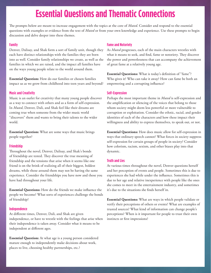### **Essential Questions and Thematic Connections**

The prompts below are meant to increase engagement with the topics at the core of *Muted*. Consider and respond to the essential questions with examples or evidence from the text of *Muted* or from your own knowledge and experience. Use these prompts to begin discussion and delve deeper into these themes.

#### **Family**

Denver, Dalisay, and Shak form a sort of family unit, though they each have distinct relationships with the families they are born into as well. Consider family relationships we create, as well as the families in which we are raised, and the impact all families have on the ways young people relate to the world around them.

**Essential Question:** How do our families or chosen families impact us as we grow from childhood into teen years and beyond?

#### **Music and Creativity**

Music is an outlet for creativity that many young people discover as a way to connect with others and as a form of self-expression. In *Muted*, Denver, Dali, and Shak feel like their dreams are coming true when someone from the wider music world "discovers" them and wants to bring their talents to the wider world.

**Essential Question:** What are some ways that music brings people together?

#### **Friendship**

Throughout the novel, Denver, Dalisay, and Shak's bonds of friendship are tested. They discover the true meaning of friendship and the tensions that arise when it seems like one friend is on the brink of realizing all of their biggest, boldest dreams, while those around them may not be having the same experience. Consider the friendships you have now and those you have had throughout your life.

**Essential Questions:** How do the friends we make influence the people we become? What sorts of experiences challenge the bonds of friendship?

#### **Independence**

At different times, Denver, Dali, and Shak are given independence, or have to wrestle with the feelings that arise when their independence is taken away. Consider what it means to be independent at different ages.

**Essential Question:** At what age is a young person considered mature enough to independently make decisions about work, places to live, choosing healthy partnerships, etc.?

#### **Fame and Notoriety**

As *Muted* progresses, each of the main characters wrestles with what it means to seek, and find, fame or notoriety. They discover the power and powerlessness that can accompany the achievement of great fame at a relatively young age.

**Essential Questions:** What is today's definition of "fame"? Who gives it? Who can take it away? How can fame be both an empowering and a corrupting influence?

### **Self-Expression**

Perhaps the most important theme in *Muted* is self-expression and the amplification or silencing of the voices that belong to those whom society might deem less powerful or more vulnerable to corruption or exploitation. Consider the ethnic, racial, and gender identities of each of the characters and how these impact their willingness and ability to express themselves, to speak out, or not.

**Essential Questions:** How does music allow for self-expression in ways that ordinary speech cannot? What forces in society suppress self-expression for certain groups of people in society? Consider how colorism, racism, sexism, and other biases play into that dynamic.

#### **Truth and Lies**

At various times throughout the novel, Denver questions herself and her perception of events and people. Sometimes this is due to experiences she had while under the influence. Sometimes this is due to her age and relative inexperience with people like the ones she comes to meet in the entertainment industry, and sometimes it's due to the situations she finds herself in.

**Essential Questions:** What are ways in which people validate or verify their perceptions of others or events? What are examples of trusted sources? What kind of information can change people's perceptions? When is it important for people to trust their own instincts or first impressions?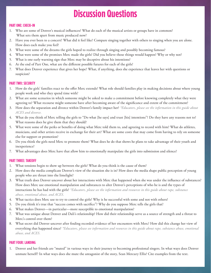### **Discussion Questions**

### **PART ONE: CHECK-IN**

- 1. Who are some of Denver's musical influences? What do each of the musical artists or groups have in common? What sets them apart from music produced now?
- 2. Have you ever been to a concert? What did it feel like? Compare singing together with others to singing when you are alone. How does each make you feel?
- 3. What were some of the dreams the girls hoped to realize through singing and possibly becoming famous?
- 4. What were some of the promises Merc made the girls? Did you believe those things would happen? Why or why not?
- 5. What is one early warning sign that Merc may be deceptive about his intentions?
- 6. At the end of Part One, what are the different possible futures for each of the girls?
- 7. What does Denver experience that gives her hope? What, if anything, does she experience that leaves her with questions or suspicion?

#### **PART TWO: SECURITY**

- 1. How do the girls' families react to the offer Merc extends? What role should families play in making decisions about where young people work and who they spend time with?
- 2. What are some scenarios in which someone might be asked to make a commitment before knowing completely what they were agreeing to? What recourse might someone have after becoming aware of the significance and extent of the commitment?
- 3. How does the separation and divorce within Denver's family impact her? *\*Educators, please see the information in this guide about ACES and divorce.*
- 4. What do you think of Merc telling the girls to "Do what [he says] and trust [his] intentions"? Do they have any reasons not to? What reasons does he give them that they should?
- 5. What were some of the perks or benefits of doing what Merc told them to, and agreeing to record with him? What do athletes, musicians, and other artists receive in exchange for their art? What are some costs that may come from having to rely on someone else for support or promotion?
- 6. Do you think the girls need Merc to promote them? What does he do that shows he plans to take advantage of their youth and inexperience?
- 7. What advantages does Merc have that allow him to emotionally manipulate the girls into submission and silence?

#### **PART THREE: TAKEOFF**

- 1. What tensions begin to show up between the girls? What do you think is the cause of them?
- 2. How does the media complicate Denver's view of the situation she is in? How does the media shape public perception of young people who are thrust into the limelight?
- 3. What truth does Denver uncover about her interactions with Merc that happened when she was under the influence of substances? How does Merc use emotional manipulation and substances to alter Denver's perceptions of who he is and the types of interactions he has had with the girls? *\*Educators, please see the information and resources in this guide about rape, substance abuse, emotional abuse, and ACES.*
- 4. What tactics does Merc use to try to control the girls? Why is he successful with some and not with others?
- 5. Do you think it's true that "success comes with sacrifice"? Why do you suppose Merc tells the girls that?
- 6. What makes Denver—in particular—more susceptible to emotional manipulation?
- 7. What was unique about Denver and Dali's relationship? How did their relationship serve as a source of strength and a threat to Merc's control over them?
- 8. What secret did Denver uncover after finding recorded evidence of her encounters with Merc? How did this change her view of everything that happened since? *\*Educators, please see information and resources in this guide about rape, substance abuse, emotional abuse, and ACES.*

#### **PART FOUR: LANDING**

1. Denver and her friends are "muted" in various ways in their journey to becoming professional singers. In what ways does Denver unmute herself? In what ways does she mute the antagonist of the story, Sean Mercury Ellis? Cite examples from the text.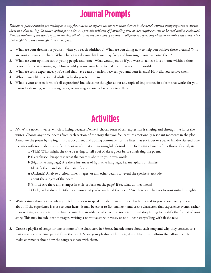### **Journal Prompts**

*Educators, please consider journaling as a way for students to explore the more mature themes in the novel without being required to discuss them in a class setting. Consider options for students to provide evidence of journaling that do not require entries to be read and/or evaluated. Remind students of the legal requirement that all educators are mandatory reporters obligated to report any abuse or anything else concerning that might be shared through student artifacts.*

- 1. What are your dreams for yourself when you reach adulthood? What are you doing now to help you achieve those dreams? Who are your allies/accomplices? What challenges do you think you may face, and how might you overcome them?
- 2. What are your opinions about young people and fame? What would you do if you were to achieve lots of fame within a short period of time at a young age? How would you use your fame to make a difference in the world?
- 3. What are some experiences you've had that have caused tension between you and your friends? How did you resolve them?
- 4. Who in your life is a trusted adult? Why do you trust them?
- 5. What is your chosen form of self-expression? Include some thoughts about any topic of importance in a form that works for you. Consider drawing, writing song lyrics, or making a short video or photo collage.

## **Activities**

- 1. *Muted* is a novel in verse, which is fitting because Denver's chosen form of self-expression is singing and through the lyrics she writes. Choose any three poems from each section of the story that you feel capture emotionally resonant moments in the plot. Annotate the poem by typing it into a document and adding comments for the lines that stick out to you, or hand-write and take pictures with notes about specific lines or words that are meaningful. Consider the following elements for a thorough analysis:
	- **T** (Title) What might the title be trying to tell you? Make a guess before analyzing the poem.
	- **P** (Paraphrase) Paraphrase what the poem is about in your own words.
	- **F** (Figurative language) Are there instances of figurative language, i.e. metaphors or similes? Identify them and state their significance.
	- **A** (Attitude) Analyze diction, tone, images, or any other details to reveal the speaker's attitude about the subject of the poem.
	- **S** (Shifts) Are there any changes in style or form on the page? If so, what do they mean?
	- **T** (Title) What does the title mean now that you've analyzed the poem? Are there any changes to your initial thoughts?
- 2. Write a story about a time when you felt powerless to speak up about an injustice that happened to you or someone you care about. If the experience is close to your heart, it may be easier to fictionalize it and create characters that experience events, rather than writing about them in the first person. For an added challenge, use non-traditional storytelling to modify the format of your story. This may include: text messages, writing a narrative story in verse, or non-linear storytelling with flashbacks.
- 3. Create a playlist of songs for one or more of the characters in *Muted*. Include notes about each song and why they connect to a particular scene or time period from the novel. Share your playlist with others, if you like, in a platform that allows people to make comments about how the songs resonate with them.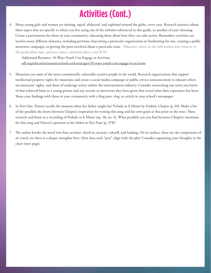# **Activities (Cont.)**

4. Many young girls and women are missing, raped, abducted, and exploited around the globe, every year. Research statistics about these topics that are specific to where you live using one of the websites referenced in this guide, or another of your choosing. Create a presentation for those in your community, educating them about how they can take action. Remember, activism can involve many different elements, including petitions, boycotting a particular organization or fundraising for one, creating a public awareness campaign, or getting the press involved about a particular issue. *\*Educators, please see the information and resources in this guide about rape, substance abuse, emotional abuse, and ACES.*

Additional Resource: 10 Ways Youth Can Engage in Activism

[adl.org/education/resources/tools-and-strategies/10-ways-youth-can-engage-in-activism](http://adl.org/education/resources/tools-and-strategies/10-ways-youth-can-engage-in-activism)

- 5. Musicians are some of the most economically vulnerable creative people in the world. Research organizations that support intellectual property rights for musicians and create a social media campaign or public service announcement to educate others on musicians' rights, and those of underage artists within the entertainment industry. Consider researching one artist you know of that achieved fame as a young person and any articles or interviews they have given that reveal what their experience has been. Share your findings with those in your community with a blog post, vlog, or article in your school's newspaper.
- 6. In Part One, Denver recalls the moment when her father taught her Prelude in E Minor by Frédéric Chopin (p. 69). Make a list of the parallels she draws between Chopin's inspiration for writing this song and her own goals at this point in the story. Then, research and listen to a recording of Prelude in E Minor (op. 28, no. 4). What parallels can you find between Chopin's intentions for this song and Denver's question to her father in Part Four (p. 378)?
- 7. The author breaks the novel into four sections: check-in, security, takeoff, and landing. On its surface, these are the components of air travel, yet there is a deeper metaphor here. How does each "part" align with the plot? Consider organizing your thoughts in the chart (next page).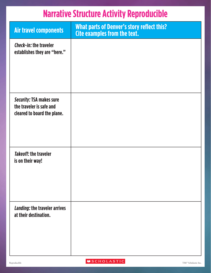### **Narrative Structure Activity Reproducible**

| Air travel components                                                                      | <b>What parts of Denver's story reflect this?</b><br><b>Cite examples from the text.</b> |
|--------------------------------------------------------------------------------------------|------------------------------------------------------------------------------------------|
| Check-in: the traveler<br>establishes they are "here."                                     |                                                                                          |
|                                                                                            |                                                                                          |
| <b>Security: TSA makes sure</b><br>the traveler is safe and<br>cleared to board the plane. |                                                                                          |
| <b>Takeoff: the traveler</b><br>is on their way!                                           |                                                                                          |
| Landing: the traveler arrives<br>at their destination.                                     |                                                                                          |